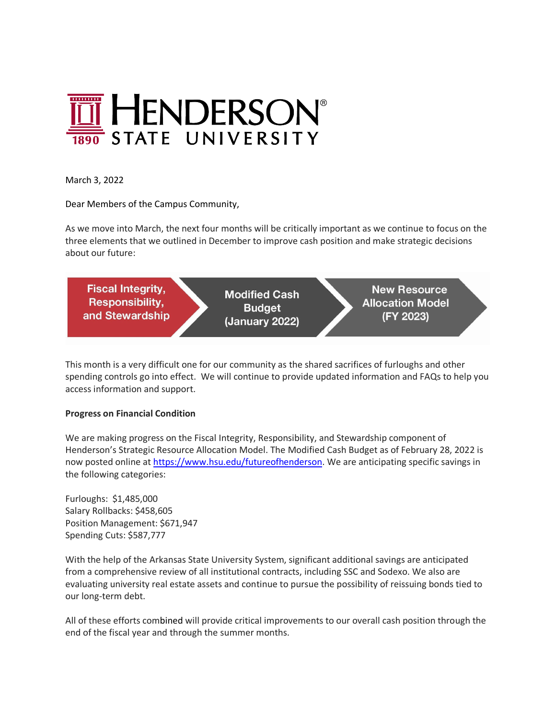

March 3, 2022

Dear Members of the Campus Community,

As we move into March, the next four months will be critically important as we continue to focus on the three elements that we outlined in December to improve cash position and make strategic decisions about our future:



This month is a very difficult one for our community as the shared sacrifices of furloughs and other spending controls go into effect. We will continue to provide updated information and FAQs to help you access information and support.

## **Progress on Financial Condition**

We are making progress on the Fiscal Integrity, Responsibility, and Stewardship component of Henderson's Strategic Resource Allocation Model. The Modified Cash Budget as of February 28, 2022 is now posted online at https://www.hsu.edu/futureofhenderson. We are anticipating specific savings in the following categories:

Furloughs: \$1,485,000 Salary Rollbacks: \$458,605 Position Management: \$671,947 Spending Cuts: \$587,777

With the help of the Arkansas State University System, significant additional savings are anticipated from a comprehensive review of all institutional contracts, including SSC and Sodexo. We also are evaluating university real estate assets and continue to pursue the possibility of reissuing bonds tied to our long-term debt.

All of these efforts combined will provide critical improvements to our overall cash position through the end of the fiscal year and through the summer months.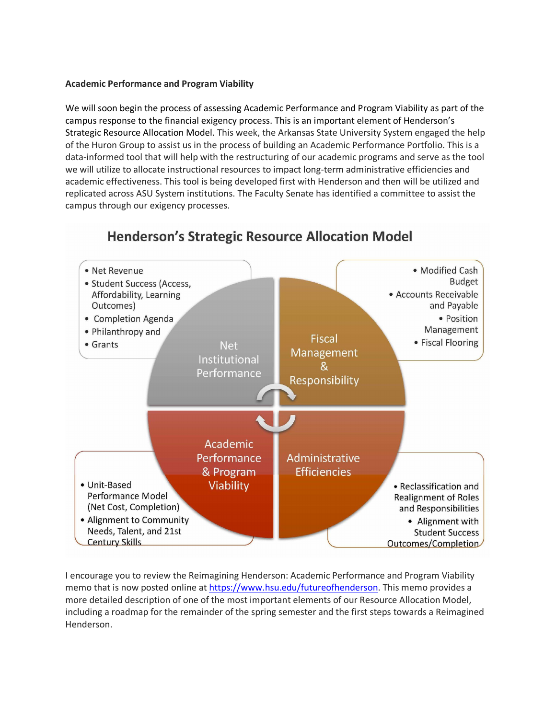## **Academic Performance and Program Viability**

We will soon begin the process of assessing Academic Performance and Program Viability as part of the campus response to the financial exigency process. This is an important element of Henderson's Strategic Resource Allocation Model. This week, the Arkansas State University System engaged the help of the Huron Group to assist us in the process of building an Academic Performance Portfolio. This is a data-informed tool that will help with the restructuring of our academic programs and serve as the tool we will utilize to allocate instructional resources to impact long-term administrative efficiencies and academic effectiveness. This tool is being developed first with Henderson and then will be utilized and replicated across ASU System institutions. The Faculty Senate has identified a committee to assist the campus through our exigency processes.



## **Henderson's Strategic Resource Allocation Model**

I encourage you to review the Reimagining Henderson: Academic Performance and Program Viability memo that is now posted online at https://www.hsu.edu/futureofhenderson. This memo provides a more detailed description of one of the most important elements of our Resource Allocation Model, including a roadmap for the remainder of the spring semester and the first steps towards a Reimagined Henderson.